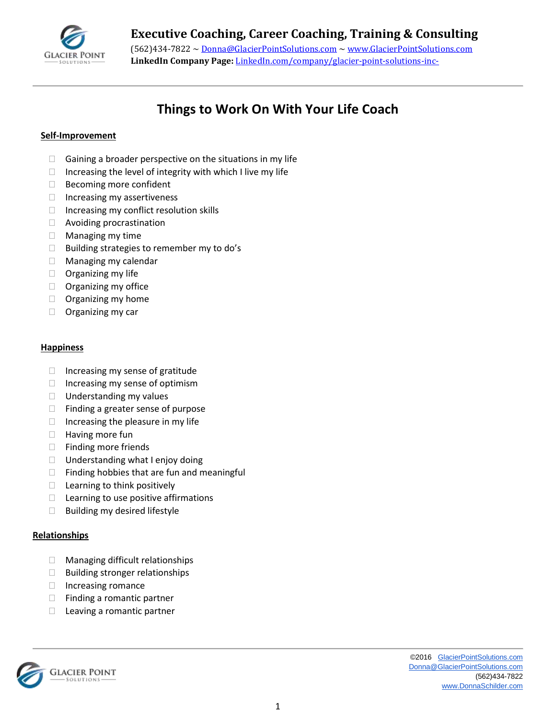

# **Executive Coaching, Career Coaching, Training & Consulting**

(562)434-7822 ~ [Donna@GlacierPointSolutions.com](mailto:Donna@GlacierPointSolutions.com) ~ [www.GlacierPointSolutions.com](http://www.glacierpointsolutions.com/) **LinkedIn Company Page:** LinkedIn.com/company/glacier-point-solutions-inc-

## **Things to Work On With Your Life Coach**

#### **Self-Improvement**

- $\Box$  Gaining a broader perspective on the situations in my life
- $\Box$  Increasing the level of integrity with which I live my life
- □ Becoming more confident
- $\Box$  Increasing my assertiveness
- $\Box$  Increasing my conflict resolution skills
- □ Avoiding procrastination
- $\Box$  Managing my time
- $\Box$  Building strategies to remember my to do's
- $\Box$  Managing my calendar
- $\Box$  Organizing my life
- $\Box$  Organizing my office
- $\Box$  Organizing my home
- $\Box$  Organizing my car

#### **Happiness**

- $\Box$  Increasing my sense of gratitude
- $\Box$  Increasing my sense of optimism
- $\Box$  Understanding my values
- $\Box$  Finding a greater sense of purpose
- $\Box$  Increasing the pleasure in my life
- $\Box$  Having more fun
- $\Box$  Finding more friends
- $\Box$  Understanding what I enjoy doing
- $\Box$  Finding hobbies that are fun and meaningful
- $\Box$  Learning to think positively
- $\Box$  Learning to use positive affirmations
- $\Box$  Building my desired lifestyle

#### **Relationships**

- □ Managing difficult relationships
- $\Box$  Building stronger relationships
- $\Box$  Increasing romance
- $\Box$  Finding a romantic partner
- $\Box$  Leaving a romantic partner